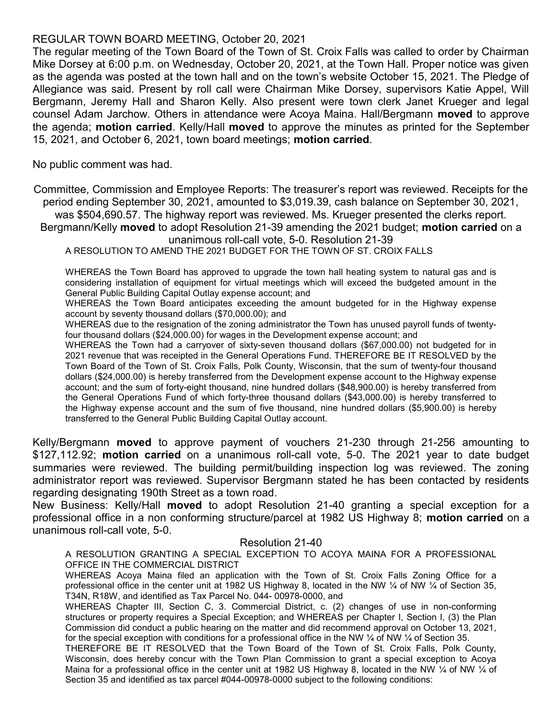# REGULAR TOWN BOARD MEETING, October 20, 2021

The regular meeting of the Town Board of the Town of St. Croix Falls was called to order by Chairman Mike Dorsey at 6:00 p.m. on Wednesday, October 20, 2021, at the Town Hall. Proper notice was given as the agenda was posted at the town hall and on the town's website October 15, 2021. The Pledge of Allegiance was said. Present by roll call were Chairman Mike Dorsey, supervisors Katie Appel, Will Bergmann, Jeremy Hall and Sharon Kelly. Also present were town clerk Janet Krueger and legal counsel Adam Jarchow. Others in attendance were Acoya Maina. Hall/Bergmann moved to approve the agenda; motion carried. Kelly/Hall moved to approve the minutes as printed for the September 15, 2021, and October 6, 2021, town board meetings; motion carried.

No public comment was had.

Committee, Commission and Employee Reports: The treasurer's report was reviewed. Receipts for the period ending September 30, 2021, amounted to \$3,019.39, cash balance on September 30, 2021, was \$504,690.57. The highway report was reviewed. Ms. Krueger presented the clerks report.

Bergmann/Kelly moved to adopt Resolution 21-39 amending the 2021 budget; motion carried on a unanimous roll-call vote, 5-0. Resolution 21-39

A RESOLUTION TO AMEND THE 2021 BUDGET FOR THE TOWN OF ST. CROIX FALLS

WHEREAS the Town Board has approved to upgrade the town hall heating system to natural gas and is considering installation of equipment for virtual meetings which will exceed the budgeted amount in the General Public Building Capital Outlay expense account; and

WHEREAS the Town Board anticipates exceeding the amount budgeted for in the Highway expense account by seventy thousand dollars (\$70,000.00); and

WHEREAS due to the resignation of the zoning administrator the Town has unused payroll funds of twentyfour thousand dollars (\$24,000.00) for wages in the Development expense account; and

WHEREAS the Town had a carryover of sixty-seven thousand dollars (\$67,000.00) not budgeted for in 2021 revenue that was receipted in the General Operations Fund. THEREFORE BE IT RESOLVED by the Town Board of the Town of St. Croix Falls, Polk County, Wisconsin, that the sum of twenty-four thousand dollars (\$24,000.00) is hereby transferred from the Development expense account to the Highway expense account; and the sum of forty-eight thousand, nine hundred dollars (\$48,900.00) is hereby transferred from the General Operations Fund of which forty-three thousand dollars (\$43,000.00) is hereby transferred to the Highway expense account and the sum of five thousand, nine hundred dollars (\$5,900.00) is hereby transferred to the General Public Building Capital Outlay account.

Kelly/Bergmann moved to approve payment of vouchers 21-230 through 21-256 amounting to \$127,112.92; motion carried on a unanimous roll-call vote, 5-0. The 2021 year to date budget summaries were reviewed. The building permit/building inspection log was reviewed. The zoning administrator report was reviewed. Supervisor Bergmann stated he has been contacted by residents regarding designating 190th Street as a town road.

New Business: Kelly/Hall moved to adopt Resolution 21-40 granting a special exception for a professional office in a non conforming structure/parcel at 1982 US Highway 8; motion carried on a unanimous roll-call vote, 5-0.

## Resolution 21-40

A RESOLUTION GRANTING A SPECIAL EXCEPTION TO ACOYA MAINA FOR A PROFESSIONAL OFFICE IN THE COMMERCIAL DISTRICT

WHEREAS Acoya Maina filed an application with the Town of St. Croix Falls Zoning Office for a professional office in the center unit at 1982 US Highway 8, located in the NW  $\frac{1}{4}$  of NW  $\frac{1}{4}$  of Section 35, T34N, R18W, and identified as Tax Parcel No. 044- 00978-0000, and

WHEREAS Chapter III, Section C, 3. Commercial District, c. (2) changes of use in non-conforming structures or property requires a Special Exception; and WHEREAS per Chapter I, Section I, (3) the Plan Commission did conduct a public hearing on the matter and did recommend approval on October 13, 2021, for the special exception with conditions for a professional office in the NW  $\frac{1}{4}$  of NW  $\frac{1}{4}$  of Section 35.

THEREFORE BE IT RESOLVED that the Town Board of the Town of St. Croix Falls, Polk County, Wisconsin, does hereby concur with the Town Plan Commission to grant a special exception to Acoya Maina for a professional office in the center unit at 1982 US Highway 8, located in the NW  $\frac{1}{4}$  of NW  $\frac{1}{4}$  of Section 35 and identified as tax parcel #044-00978-0000 subject to the following conditions: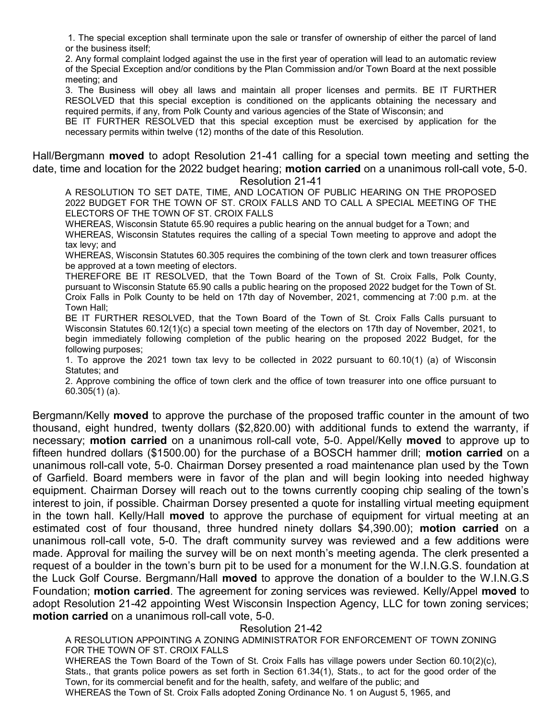1. The special exception shall terminate upon the sale or transfer of ownership of either the parcel of land or the business itself;

2. Any formal complaint lodged against the use in the first year of operation will lead to an automatic review of the Special Exception and/or conditions by the Plan Commission and/or Town Board at the next possible meeting; and

3. The Business will obey all laws and maintain all proper licenses and permits. BE IT FURTHER RESOLVED that this special exception is conditioned on the applicants obtaining the necessary and required permits, if any, from Polk County and various agencies of the State of Wisconsin; and

BE IT FURTHER RESOLVED that this special exception must be exercised by application for the necessary permits within twelve (12) months of the date of this Resolution.

Hall/Bergmann moved to adopt Resolution 21-41 calling for a special town meeting and setting the date, time and location for the 2022 budget hearing; **motion carried** on a unanimous roll-call vote, 5-0. Resolution 21-41

A RESOLUTION TO SET DATE, TIME, AND LOCATION OF PUBLIC HEARING ON THE PROPOSED 2022 BUDGET FOR THE TOWN OF ST. CROIX FALLS AND TO CALL A SPECIAL MEETING OF THE ELECTORS OF THE TOWN OF ST. CROIX FALLS

WHEREAS, Wisconsin Statute 65.90 requires a public hearing on the annual budget for a Town; and WHEREAS, Wisconsin Statutes requires the calling of a special Town meeting to approve and adopt the tax levy; and

WHEREAS, Wisconsin Statutes 60.305 requires the combining of the town clerk and town treasurer offices be approved at a town meeting of electors.

THEREFORE BE IT RESOLVED, that the Town Board of the Town of St. Croix Falls, Polk County, pursuant to Wisconsin Statute 65.90 calls a public hearing on the proposed 2022 budget for the Town of St. Croix Falls in Polk County to be held on 17th day of November, 2021, commencing at 7:00 p.m. at the Town Hall;

BE IT FURTHER RESOLVED, that the Town Board of the Town of St. Croix Falls Calls pursuant to Wisconsin Statutes 60.12(1)(c) a special town meeting of the electors on 17th day of November, 2021, to begin immediately following completion of the public hearing on the proposed 2022 Budget, for the following purposes;

1. To approve the 2021 town tax levy to be collected in 2022 pursuant to 60.10(1) (a) of Wisconsin Statutes; and

2. Approve combining the office of town clerk and the office of town treasurer into one office pursuant to 60.305(1) (a).

Bergmann/Kelly moved to approve the purchase of the proposed traffic counter in the amount of two thousand, eight hundred, twenty dollars (\$2,820.00) with additional funds to extend the warranty, if necessary; motion carried on a unanimous roll-call vote, 5-0. Appel/Kelly moved to approve up to fifteen hundred dollars (\$1500.00) for the purchase of a BOSCH hammer drill; **motion carried** on a unanimous roll-call vote, 5-0. Chairman Dorsey presented a road maintenance plan used by the Town of Garfield. Board members were in favor of the plan and will begin looking into needed highway equipment. Chairman Dorsey will reach out to the towns currently cooping chip sealing of the town's interest to join, if possible. Chairman Dorsey presented a quote for installing virtual meeting equipment in the town hall. Kelly/Hall moved to approve the purchase of equipment for virtual meeting at an estimated cost of four thousand, three hundred ninety dollars \$4,390.00); motion carried on a unanimous roll-call vote, 5-0. The draft community survey was reviewed and a few additions were made. Approval for mailing the survey will be on next month's meeting agenda. The clerk presented a request of a boulder in the town's burn pit to be used for a monument for the W.I.N.G.S. foundation at the Luck Golf Course. Bergmann/Hall moved to approve the donation of a boulder to the W.I.N.G.S Foundation; motion carried. The agreement for zoning services was reviewed. Kelly/Appel moved to adopt Resolution 21-42 appointing West Wisconsin Inspection Agency, LLC for town zoning services; motion carried on a unanimous roll-call vote, 5-0.

## Resolution 21-42

A RESOLUTION APPOINTING A ZONING ADMINISTRATOR FOR ENFORCEMENT OF TOWN ZONING FOR THE TOWN OF ST. CROIX FALLS

WHEREAS the Town Board of the Town of St. Croix Falls has village powers under Section 60.10(2)(c), Stats., that grants police powers as set forth in Section 61.34(1), Stats., to act for the good order of the Town, for its commercial benefit and for the health, safety, and welfare of the public; and WHEREAS the Town of St. Croix Falls adopted Zoning Ordinance No. 1 on August 5, 1965, and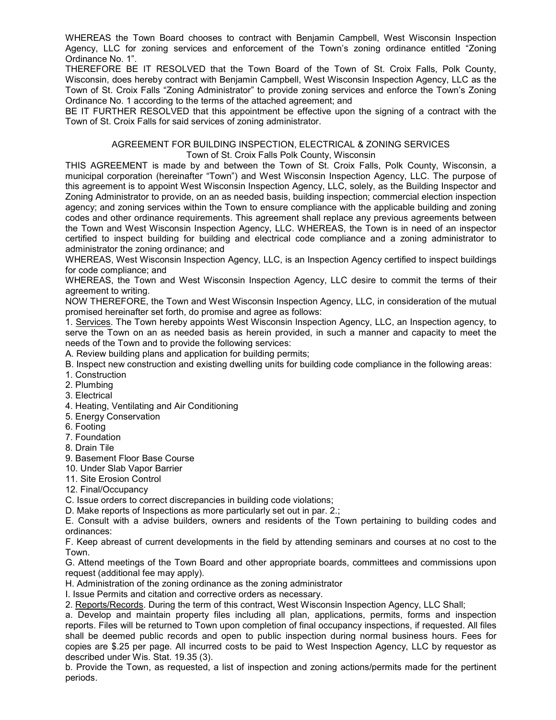WHEREAS the Town Board chooses to contract with Benjamin Campbell, West Wisconsin Inspection Agency, LLC for zoning services and enforcement of the Town's zoning ordinance entitled "Zoning Ordinance No. 1".

THEREFORE BE IT RESOLVED that the Town Board of the Town of St. Croix Falls, Polk County, Wisconsin, does hereby contract with Benjamin Campbell, West Wisconsin Inspection Agency, LLC as the Town of St. Croix Falls "Zoning Administrator" to provide zoning services and enforce the Town's Zoning Ordinance No. 1 according to the terms of the attached agreement; and

BE IT FURTHER RESOLVED that this appointment be effective upon the signing of a contract with the Town of St. Croix Falls for said services of zoning administrator.

#### AGREEMENT FOR BUILDING INSPECTION, ELECTRICAL & ZONING SERVICES Town of St. Croix Falls Polk County, Wisconsin

THIS AGREEMENT is made by and between the Town of St. Croix Falls, Polk County, Wisconsin, a municipal corporation (hereinafter "Town") and West Wisconsin Inspection Agency, LLC. The purpose of this agreement is to appoint West Wisconsin Inspection Agency, LLC, solely, as the Building Inspector and Zoning Administrator to provide, on an as needed basis, building inspection; commercial election inspection agency; and zoning services within the Town to ensure compliance with the applicable building and zoning codes and other ordinance requirements. This agreement shall replace any previous agreements between the Town and West Wisconsin Inspection Agency, LLC. WHEREAS, the Town is in need of an inspector certified to inspect building for building and electrical code compliance and a zoning administrator to administrator the zoning ordinance; and

WHEREAS, West Wisconsin Inspection Agency, LLC, is an Inspection Agency certified to inspect buildings for code compliance; and

WHEREAS, the Town and West Wisconsin Inspection Agency, LLC desire to commit the terms of their agreement to writing.

NOW THEREFORE, the Town and West Wisconsin Inspection Agency, LLC, in consideration of the mutual promised hereinafter set forth, do promise and agree as follows:

1. Services. The Town hereby appoints West Wisconsin Inspection Agency, LLC, an Inspection agency, to serve the Town on an as needed basis as herein provided, in such a manner and capacity to meet the needs of the Town and to provide the following services:

A. Review building plans and application for building permits;

- B. Inspect new construction and existing dwelling units for building code compliance in the following areas:
- 1. Construction
- 2. Plumbing
- 3. Electrical
- 4. Heating, Ventilating and Air Conditioning
- 5. Energy Conservation
- 6. Footing
- 7. Foundation
- 8. Drain Tile
- 9. Basement Floor Base Course
- 10. Under Slab Vapor Barrier
- 11. Site Erosion Control
- 12. Final/Occupancy
- C. Issue orders to correct discrepancies in building code violations;
- D. Make reports of Inspections as more particularly set out in par. 2.;

E. Consult with a advise builders, owners and residents of the Town pertaining to building codes and ordinances:

F. Keep abreast of current developments in the field by attending seminars and courses at no cost to the Town.

G. Attend meetings of the Town Board and other appropriate boards, committees and commissions upon request (additional fee may apply).

H. Administration of the zoning ordinance as the zoning administrator

I. Issue Permits and citation and corrective orders as necessary.

2. Reports/Records. During the term of this contract, West Wisconsin Inspection Agency, LLC Shall;

a. Develop and maintain property files including all plan, applications, permits, forms and inspection reports. Files will be returned to Town upon completion of final occupancy inspections, if requested. All files shall be deemed public records and open to public inspection during normal business hours. Fees for copies are \$.25 per page. All incurred costs to be paid to West Inspection Agency, LLC by requestor as described under Wis. Stat. 19.35 (3).

b. Provide the Town, as requested, a list of inspection and zoning actions/permits made for the pertinent periods.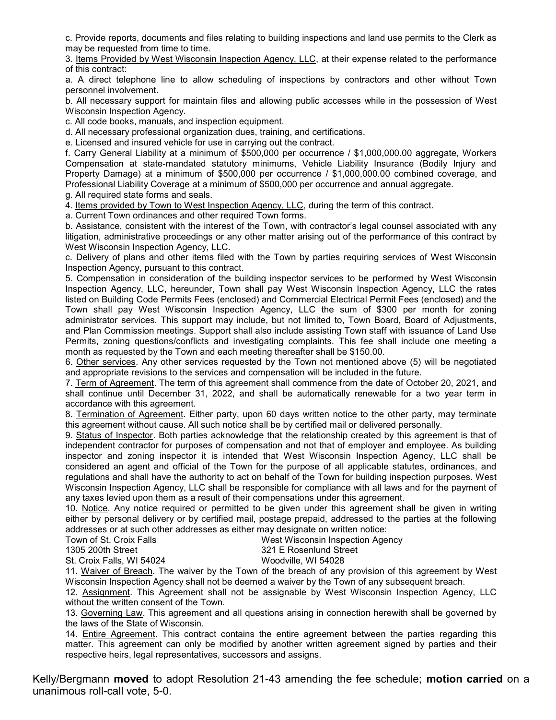c. Provide reports, documents and files relating to building inspections and land use permits to the Clerk as may be requested from time to time.

3. Items Provided by West Wisconsin Inspection Agency, LLC, at their expense related to the performance of this contract:

a. A direct telephone line to allow scheduling of inspections by contractors and other without Town personnel involvement.

b. All necessary support for maintain files and allowing public accesses while in the possession of West Wisconsin Inspection Agency.

c. All code books, manuals, and inspection equipment.

d. All necessary professional organization dues, training, and certifications.

e. Licensed and insured vehicle for use in carrying out the contract.

f. Carry General Liability at a minimum of \$500,000 per occurrence / \$1,000,000.00 aggregate, Workers Compensation at state-mandated statutory minimums, Vehicle Liability Insurance (Bodily Injury and Property Damage) at a minimum of \$500,000 per occurrence / \$1,000,000.00 combined coverage, and Professional Liability Coverage at a minimum of \$500,000 per occurrence and annual aggregate.

g. All required state forms and seals.

4. Items provided by Town to West Inspection Agency, LLC, during the term of this contract.

a. Current Town ordinances and other required Town forms.

b. Assistance, consistent with the interest of the Town, with contractor's legal counsel associated with any litigation, administrative proceedings or any other matter arising out of the performance of this contract by West Wisconsin Inspection Agency, LLC.

c. Delivery of plans and other items filed with the Town by parties requiring services of West Wisconsin Inspection Agency, pursuant to this contract.

5. Compensation in consideration of the building inspector services to be performed by West Wisconsin Inspection Agency, LLC, hereunder, Town shall pay West Wisconsin Inspection Agency, LLC the rates listed on Building Code Permits Fees (enclosed) and Commercial Electrical Permit Fees (enclosed) and the Town shall pay West Wisconsin Inspection Agency, LLC the sum of \$300 per month for zoning administrator services. This support may include, but not limited to, Town Board, Board of Adjustments, and Plan Commission meetings. Support shall also include assisting Town staff with issuance of Land Use Permits, zoning questions/conflicts and investigating complaints. This fee shall include one meeting a month as requested by the Town and each meeting thereafter shall be \$150.00.

6. Other services. Any other services requested by the Town not mentioned above (5) will be negotiated and appropriate revisions to the services and compensation will be included in the future.

7. Term of Agreement. The term of this agreement shall commence from the date of October 20, 2021, and shall continue until December 31, 2022, and shall be automatically renewable for a two year term in accordance with this agreement.

8. Termination of Agreement. Either party, upon 60 days written notice to the other party, may terminate this agreement without cause. All such notice shall be by certified mail or delivered personally.

9. Status of Inspector. Both parties acknowledge that the relationship created by this agreement is that of independent contractor for purposes of compensation and not that of employer and employee. As building inspector and zoning inspector it is intended that West Wisconsin Inspection Agency, LLC shall be considered an agent and official of the Town for the purpose of all applicable statutes, ordinances, and regulations and shall have the authority to act on behalf of the Town for building inspection purposes. West Wisconsin Inspection Agency, LLC shall be responsible for compliance with all laws and for the payment of any taxes levied upon them as a result of their compensations under this agreement.

10. Notice. Any notice required or permitted to be given under this agreement shall be given in writing either by personal delivery or by certified mail, postage prepaid, addressed to the parties at the following addresses or at such other addresses as either may designate on written notice:

| Town of St. Croix Falls   | West Wisconsin Inspection Agency |
|---------------------------|----------------------------------|
| 1305 200th Street         | 321 E Rosenlund Street           |
| St. Croix Falls, WI 54024 | Woodville, WI 54028              |

11. Waiver of Breach. The waiver by the Town of the breach of any provision of this agreement by West Wisconsin Inspection Agency shall not be deemed a waiver by the Town of any subsequent breach.

12. Assignment. This Agreement shall not be assignable by West Wisconsin Inspection Agency, LLC without the written consent of the Town.

13. Governing Law. This agreement and all questions arising in connection herewith shall be governed by the laws of the State of Wisconsin.

14. Entire Agreement. This contract contains the entire agreement between the parties regarding this matter. This agreement can only be modified by another written agreement signed by parties and their respective heirs, legal representatives, successors and assigns.

Kelly/Bergmann **moved** to adopt Resolution 21-43 amending the fee schedule; **motion carried** on a unanimous roll-call vote, 5-0.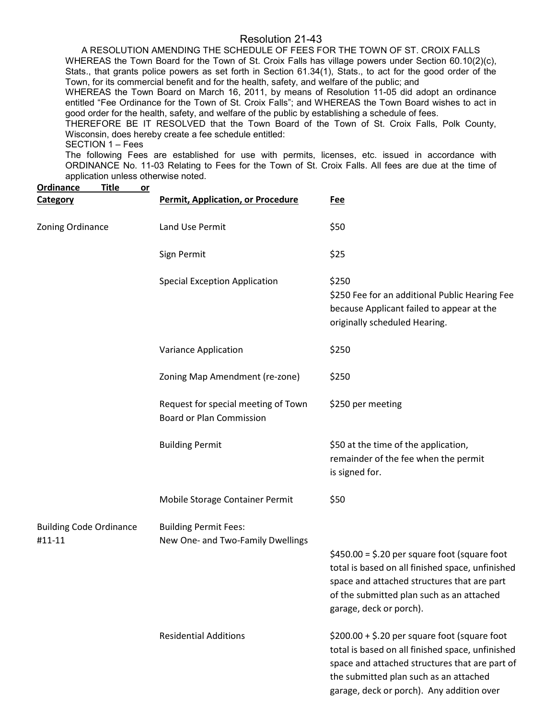## Resolution 21-43

A RESOLUTION AMENDING THE SCHEDULE OF FEES FOR THE TOWN OF ST. CROIX FALLS WHEREAS the Town Board for the Town of St. Croix Falls has village powers under Section 60.10(2)(c), Stats., that grants police powers as set forth in Section 61.34(1), Stats., to act for the good order of the Town, for its commercial benefit and for the health, safety, and welfare of the public; and

WHEREAS the Town Board on March 16, 2011, by means of Resolution 11-05 did adopt an ordinance entitled "Fee Ordinance for the Town of St. Croix Falls"; and WHEREAS the Town Board wishes to act in good order for the health, safety, and welfare of the public by establishing a schedule of fees.

THEREFORE BE IT RESOLVED that the Town Board of the Town of St. Croix Falls, Polk County, Wisconsin, does hereby create a fee schedule entitled:

#### SECTION 1 – Fees

The following Fees are established for use with permits, licenses, etc. issued in accordance with ORDINANCE No. 11-03 Relating to Fees for the Town of St. Croix Falls. All fees are due at the time of application unless otherwise noted.

| <b>Ordinance</b><br><b>Title</b><br><u>or</u> |                                                                        |                                                                                                                                                                                                                                            |
|-----------------------------------------------|------------------------------------------------------------------------|--------------------------------------------------------------------------------------------------------------------------------------------------------------------------------------------------------------------------------------------|
| <b>Category</b>                               | <b>Permit, Application, or Procedure</b>                               | <u>Fee</u>                                                                                                                                                                                                                                 |
| Zoning Ordinance                              | Land Use Permit                                                        | \$50                                                                                                                                                                                                                                       |
|                                               | Sign Permit                                                            | \$25                                                                                                                                                                                                                                       |
|                                               | <b>Special Exception Application</b>                                   | \$250<br>\$250 Fee for an additional Public Hearing Fee<br>because Applicant failed to appear at the<br>originally scheduled Hearing.                                                                                                      |
|                                               | Variance Application                                                   | \$250                                                                                                                                                                                                                                      |
|                                               | Zoning Map Amendment (re-zone)                                         | \$250                                                                                                                                                                                                                                      |
|                                               | Request for special meeting of Town<br><b>Board or Plan Commission</b> | \$250 per meeting                                                                                                                                                                                                                          |
|                                               | <b>Building Permit</b>                                                 | \$50 at the time of the application,<br>remainder of the fee when the permit<br>is signed for.                                                                                                                                             |
|                                               | Mobile Storage Container Permit                                        | \$50                                                                                                                                                                                                                                       |
| <b>Building Code Ordinance</b>                | <b>Building Permit Fees:</b>                                           |                                                                                                                                                                                                                                            |
| #11-11                                        | New One- and Two-Family Dwellings                                      |                                                                                                                                                                                                                                            |
|                                               |                                                                        | $$450.00 = $.20$ per square foot (square foot<br>total is based on all finished space, unfinished<br>space and attached structures that are part<br>of the submitted plan such as an attached<br>garage, deck or porch).                   |
|                                               | <b>Residential Additions</b>                                           | $$200.00 + $.20$ per square foot (square foot<br>total is based on all finished space, unfinished<br>space and attached structures that are part of<br>the submitted plan such as an attached<br>garage, deck or porch). Any addition over |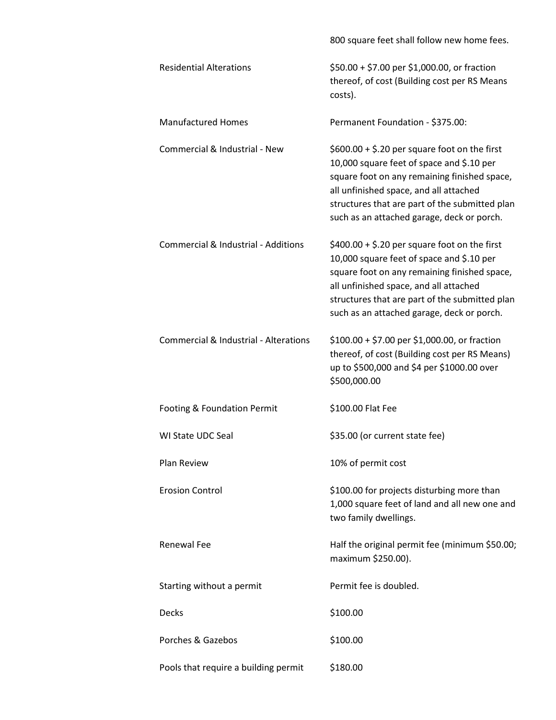|                                                | 800 square feet shall follow new home fees.                                                                                                                                                                                                                                          |
|------------------------------------------------|--------------------------------------------------------------------------------------------------------------------------------------------------------------------------------------------------------------------------------------------------------------------------------------|
| <b>Residential Alterations</b>                 | \$50.00 + \$7.00 per \$1,000.00, or fraction<br>thereof, of cost (Building cost per RS Means<br>costs).                                                                                                                                                                              |
| <b>Manufactured Homes</b>                      | Permanent Foundation - \$375.00:                                                                                                                                                                                                                                                     |
| Commercial & Industrial - New                  | $$600.00 + $.20$ per square foot on the first<br>10,000 square feet of space and \$.10 per<br>square foot on any remaining finished space,<br>all unfinished space, and all attached<br>structures that are part of the submitted plan<br>such as an attached garage, deck or porch. |
| <b>Commercial &amp; Industrial - Additions</b> | $$400.00 + $.20$ per square foot on the first<br>10,000 square feet of space and \$.10 per<br>square foot on any remaining finished space,<br>all unfinished space, and all attached<br>structures that are part of the submitted plan<br>such as an attached garage, deck or porch. |
| Commercial & Industrial - Alterations          | \$100.00 + \$7.00 per \$1,000.00, or fraction<br>thereof, of cost (Building cost per RS Means)<br>up to \$500,000 and \$4 per \$1000.00 over<br>\$500,000.00                                                                                                                         |
| Footing & Foundation Permit                    | \$100.00 Flat Fee                                                                                                                                                                                                                                                                    |
| <b>WI State UDC Seal</b>                       | \$35.00 (or current state fee)                                                                                                                                                                                                                                                       |
| Plan Review                                    | 10% of permit cost                                                                                                                                                                                                                                                                   |
| <b>Erosion Control</b>                         | \$100.00 for projects disturbing more than<br>1,000 square feet of land and all new one and<br>two family dwellings.                                                                                                                                                                 |
| <b>Renewal Fee</b>                             | Half the original permit fee (minimum \$50.00;<br>maximum \$250.00).                                                                                                                                                                                                                 |
| Starting without a permit                      | Permit fee is doubled.                                                                                                                                                                                                                                                               |
| <b>Decks</b>                                   | \$100.00                                                                                                                                                                                                                                                                             |
| Porches & Gazebos                              | \$100.00                                                                                                                                                                                                                                                                             |
| Pools that require a building permit           | \$180.00                                                                                                                                                                                                                                                                             |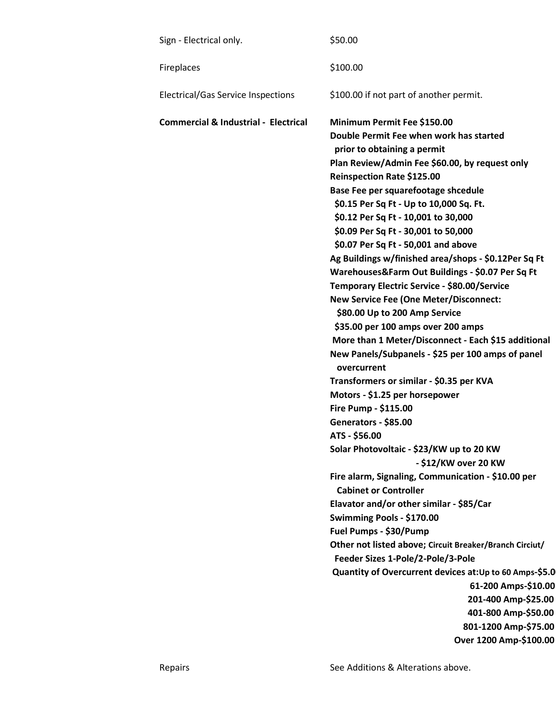| Sign - Electrical only.                         | \$50.00                                                                                                                                                                                                                                                                                                                                                                                                                                                                                                                                                                                                                                                                                                                                                                                                                                                                                                                                                                                                                                                                                                                                                                                                                                                                                                                                                                                                                                                                                                   |
|-------------------------------------------------|-----------------------------------------------------------------------------------------------------------------------------------------------------------------------------------------------------------------------------------------------------------------------------------------------------------------------------------------------------------------------------------------------------------------------------------------------------------------------------------------------------------------------------------------------------------------------------------------------------------------------------------------------------------------------------------------------------------------------------------------------------------------------------------------------------------------------------------------------------------------------------------------------------------------------------------------------------------------------------------------------------------------------------------------------------------------------------------------------------------------------------------------------------------------------------------------------------------------------------------------------------------------------------------------------------------------------------------------------------------------------------------------------------------------------------------------------------------------------------------------------------------|
| Fireplaces                                      | \$100.00                                                                                                                                                                                                                                                                                                                                                                                                                                                                                                                                                                                                                                                                                                                                                                                                                                                                                                                                                                                                                                                                                                                                                                                                                                                                                                                                                                                                                                                                                                  |
| Electrical/Gas Service Inspections              | \$100.00 if not part of another permit.                                                                                                                                                                                                                                                                                                                                                                                                                                                                                                                                                                                                                                                                                                                                                                                                                                                                                                                                                                                                                                                                                                                                                                                                                                                                                                                                                                                                                                                                   |
| <b>Commercial &amp; Industrial - Electrical</b> | Minimum Permit Fee \$150.00<br>Double Permit Fee when work has started<br>prior to obtaining a permit<br>Plan Review/Admin Fee \$60.00, by request only<br>Reinspection Rate \$125.00<br>Base Fee per squarefootage shcedule<br>\$0.15 Per Sq Ft - Up to 10,000 Sq. Ft.<br>\$0.12 Per Sq Ft - 10,001 to 30,000<br>\$0.09 Per Sq Ft - 30,001 to 50,000<br>\$0.07 Per Sq Ft - 50,001 and above<br>Ag Buildings w/finished area/shops - \$0.12Per Sq Ft<br>Warehouses&Farm Out Buildings - \$0.07 Per Sq Ft<br>Temporary Electric Service - \$80.00/Service<br><b>New Service Fee (One Meter/Disconnect:</b><br>\$80.00 Up to 200 Amp Service<br>\$35.00 per 100 amps over 200 amps<br>More than 1 Meter/Disconnect - Each \$15 additional<br>New Panels/Subpanels - \$25 per 100 amps of panel<br>overcurrent<br>Transformers or similar - \$0.35 per KVA<br>Motors - \$1.25 per horsepower<br>Fire Pump - \$115.00<br>Generators - \$85.00<br>ATS - \$56.00<br>Solar Photovoltaic - \$23/KW up to 20 KW<br>- \$12/KW over 20 KW<br>Fire alarm, Signaling, Communication - \$10.00 per<br><b>Cabinet or Controller</b><br>Elavator and/or other similar - \$85/Car<br>Swimming Pools - \$170.00<br>Fuel Pumps - \$30/Pump<br>Other not listed above; Circuit Breaker/Branch Circiut/<br>Feeder Sizes 1-Pole/2-Pole/3-Pole<br>Quantity of Overcurrent devices at: Up to 60 Amps-\$5.0<br>61-200 Amps-\$10.00<br>201-400 Amp-\$25.00<br>401-800 Amp-\$50.00<br>801-1200 Amp-\$75.00<br>Over 1200 Amp-\$100.00 |
|                                                 |                                                                                                                                                                                                                                                                                                                                                                                                                                                                                                                                                                                                                                                                                                                                                                                                                                                                                                                                                                                                                                                                                                                                                                                                                                                                                                                                                                                                                                                                                                           |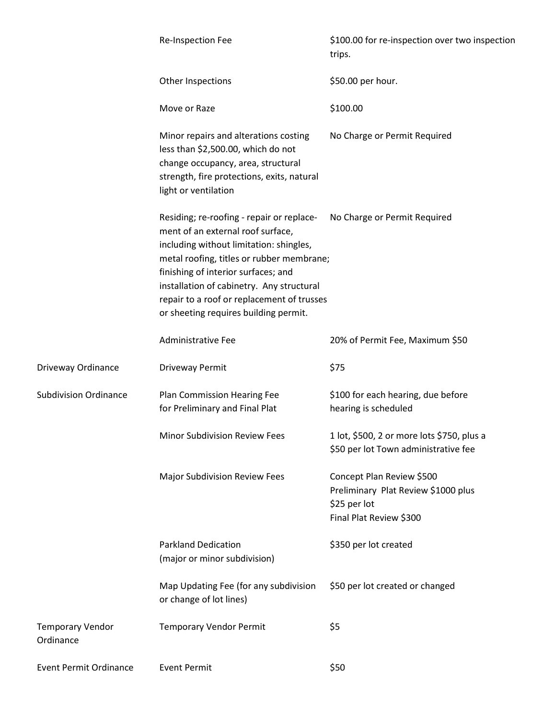|                                      | Re-Inspection Fee                                                                                                                                                                                                                                                                                                                                 | \$100.00 for re-inspection over two inspection<br>trips.                                                    |
|--------------------------------------|---------------------------------------------------------------------------------------------------------------------------------------------------------------------------------------------------------------------------------------------------------------------------------------------------------------------------------------------------|-------------------------------------------------------------------------------------------------------------|
|                                      | Other Inspections                                                                                                                                                                                                                                                                                                                                 | \$50.00 per hour.                                                                                           |
|                                      | Move or Raze                                                                                                                                                                                                                                                                                                                                      | \$100.00                                                                                                    |
|                                      | Minor repairs and alterations costing<br>less than \$2,500.00, which do not<br>change occupancy, area, structural<br>strength, fire protections, exits, natural<br>light or ventilation                                                                                                                                                           | No Charge or Permit Required                                                                                |
|                                      | Residing; re-roofing - repair or replace-<br>ment of an external roof surface,<br>including without limitation: shingles,<br>metal roofing, titles or rubber membrane;<br>finishing of interior surfaces; and<br>installation of cabinetry. Any structural<br>repair to a roof or replacement of trusses<br>or sheeting requires building permit. | No Charge or Permit Required                                                                                |
|                                      | <b>Administrative Fee</b>                                                                                                                                                                                                                                                                                                                         | 20% of Permit Fee, Maximum \$50                                                                             |
| Driveway Ordinance                   | Driveway Permit                                                                                                                                                                                                                                                                                                                                   | \$75                                                                                                        |
| <b>Subdivision Ordinance</b>         | Plan Commission Hearing Fee<br>for Preliminary and Final Plat                                                                                                                                                                                                                                                                                     | \$100 for each hearing, due before<br>hearing is scheduled                                                  |
|                                      | Minor Subdivision Review Fees                                                                                                                                                                                                                                                                                                                     | 1 lot, \$500, 2 or more lots \$750, plus a<br>\$50 per lot Town administrative fee                          |
|                                      | <b>Major Subdivision Review Fees</b>                                                                                                                                                                                                                                                                                                              | Concept Plan Review \$500<br>Preliminary Plat Review \$1000 plus<br>\$25 per lot<br>Final Plat Review \$300 |
|                                      | <b>Parkland Dedication</b><br>(major or minor subdivision)                                                                                                                                                                                                                                                                                        | \$350 per lot created                                                                                       |
|                                      | Map Updating Fee (for any subdivision<br>or change of lot lines)                                                                                                                                                                                                                                                                                  | \$50 per lot created or changed                                                                             |
| <b>Temporary Vendor</b><br>Ordinance | <b>Temporary Vendor Permit</b>                                                                                                                                                                                                                                                                                                                    | \$5                                                                                                         |
| <b>Event Permit Ordinance</b>        | <b>Event Permit</b>                                                                                                                                                                                                                                                                                                                               | \$50                                                                                                        |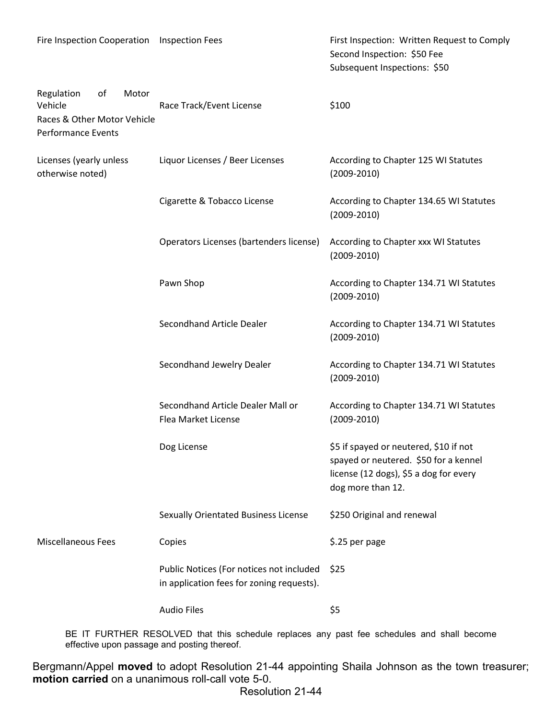| Fire Inspection Cooperation Inspection Fees                                                      |                                                                                       | First Inspection: Written Request to Comply<br>Second Inspection: \$50 Fee<br>Subsequent Inspections: \$50                                     |
|--------------------------------------------------------------------------------------------------|---------------------------------------------------------------------------------------|------------------------------------------------------------------------------------------------------------------------------------------------|
| of<br>Motor<br>Regulation<br>Vehicle<br>Races & Other Motor Vehicle<br><b>Performance Events</b> | Race Track/Event License                                                              | \$100                                                                                                                                          |
| Licenses (yearly unless<br>otherwise noted)                                                      | Liquor Licenses / Beer Licenses                                                       | According to Chapter 125 WI Statutes<br>$(2009 - 2010)$                                                                                        |
|                                                                                                  | Cigarette & Tobacco License                                                           | According to Chapter 134.65 WI Statutes<br>$(2009 - 2010)$                                                                                     |
|                                                                                                  | Operators Licenses (bartenders license)                                               | According to Chapter xxx WI Statutes<br>$(2009 - 2010)$                                                                                        |
|                                                                                                  | Pawn Shop                                                                             | According to Chapter 134.71 WI Statutes<br>$(2009 - 2010)$                                                                                     |
|                                                                                                  | Secondhand Article Dealer                                                             | According to Chapter 134.71 WI Statutes<br>$(2009 - 2010)$                                                                                     |
|                                                                                                  | Secondhand Jewelry Dealer                                                             | According to Chapter 134.71 WI Statutes<br>$(2009 - 2010)$                                                                                     |
|                                                                                                  | Secondhand Article Dealer Mall or<br>Flea Market License                              | According to Chapter 134.71 WI Statutes<br>$(2009 - 2010)$                                                                                     |
|                                                                                                  | Dog License                                                                           | \$5 if spayed or neutered, \$10 if not<br>spayed or neutered. \$50 for a kennel<br>license (12 dogs), \$5 a dog for every<br>dog more than 12. |
|                                                                                                  | <b>Sexually Orientated Business License</b>                                           | \$250 Original and renewal                                                                                                                     |
| <b>Miscellaneous Fees</b>                                                                        | Copies                                                                                | \$.25 per page                                                                                                                                 |
|                                                                                                  | Public Notices (For notices not included<br>in application fees for zoning requests). | \$25                                                                                                                                           |
|                                                                                                  | <b>Audio Files</b>                                                                    | \$5                                                                                                                                            |

BE IT FURTHER RESOLVED that this schedule replaces any past fee schedules and shall become effective upon passage and posting thereof.

Bergmann/Appel moved to adopt Resolution 21-44 appointing Shaila Johnson as the town treasurer; motion carried on a unanimous roll-call vote 5-0.